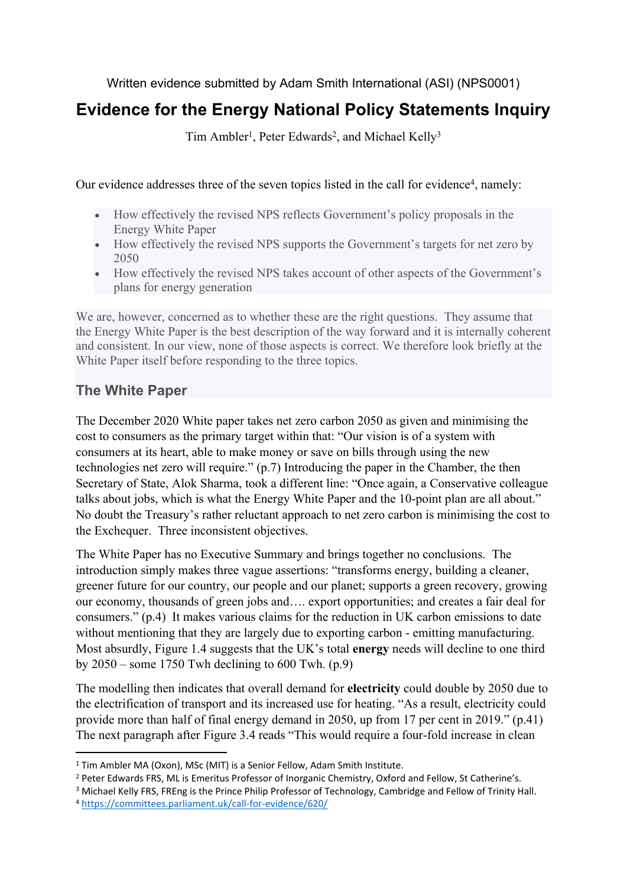Written evidence submitted by Adam Smith International (ASI) (NPS0001)

# **Evidence for the Energy National Policy Statements Inquiry**

Tim Ambler<sup>1</sup>, Peter Edwards<sup>2</sup>, and Michael Kelly<sup>3</sup>

Our evidence addresses three of the seven topics listed in the call for evidence<sup>4</sup>, namely:

- How effectively the revised NPS reflects Government's policy proposals in the Energy White Paper
- How effectively the revised NPS supports the Government's targets for net zero by 2050
- How effectively the revised NPS takes account of other aspects of the Government's plans for energy generation

We are, however, concerned as to whether these are the right questions. They assume that the Energy White Paper is the best description of the way forward and it is internally coherent and consistent. In our view, none of those aspects is correct. We therefore look briefly at the White Paper itself before responding to the three topics.

# **The White Paper**

The December 2020 White paper takes net zero carbon 2050 as given and minimising the cost to consumers as the primary target within that: "Our vision is of a system with consumers at its heart, able to make money or save on bills through using the new technologies net zero will require." (p.7) Introducing the paper in the Chamber, the then Secretary of State, Alok Sharma, took a different line: "Once again, a Conservative colleague talks about jobs, which is what the Energy White Paper and the 10-point plan are all about." No doubt the Treasury's rather reluctant approach to net zero carbon is minimising the cost to the Exchequer. Three inconsistent objectives.

The White Paper has no Executive Summary and brings together no conclusions. The introduction simply makes three vague assertions: "transforms energy, building a cleaner, greener future for our country, our people and our planet; supports a green recovery, growing our economy, thousands of green jobs and…. export opportunities; and creates a fair deal for consumers." (p.4) It makes various claims for the reduction in UK carbon emissions to date without mentioning that they are largely due to exporting carbon - emitting manufacturing. Most absurdly, Figure 1.4 suggests that the UK's total **energy** needs will decline to one third by  $2050$  – some 1750 Twh declining to 600 Twh. (p.9)

The modelling then indicates that overall demand for **electricity** could double by 2050 due to the electrification of transport and its increased use for heating. "As a result, electricity could provide more than half of final energy demand in 2050, up from 17 per cent in 2019." (p.41) The next paragraph after Figure 3.4 reads "This would require a four-fold increase in clean

<sup>&</sup>lt;sup>1</sup> Tim Ambler MA (Oxon), MSc (MIT) is a Senior Fellow, Adam Smith Institute.

<sup>2</sup> Peter Edwards FRS, ML is Emeritus Professor of Inorganic Chemistry, Oxford and Fellow, St Catherine's.

<sup>3</sup> Michael Kelly FRS, FREng is the Prince Philip Professor of Technology, Cambridge and Fellow of Trinity Hall. <sup>4</sup> <https://committees.parliament.uk/call-for-evidence/620/>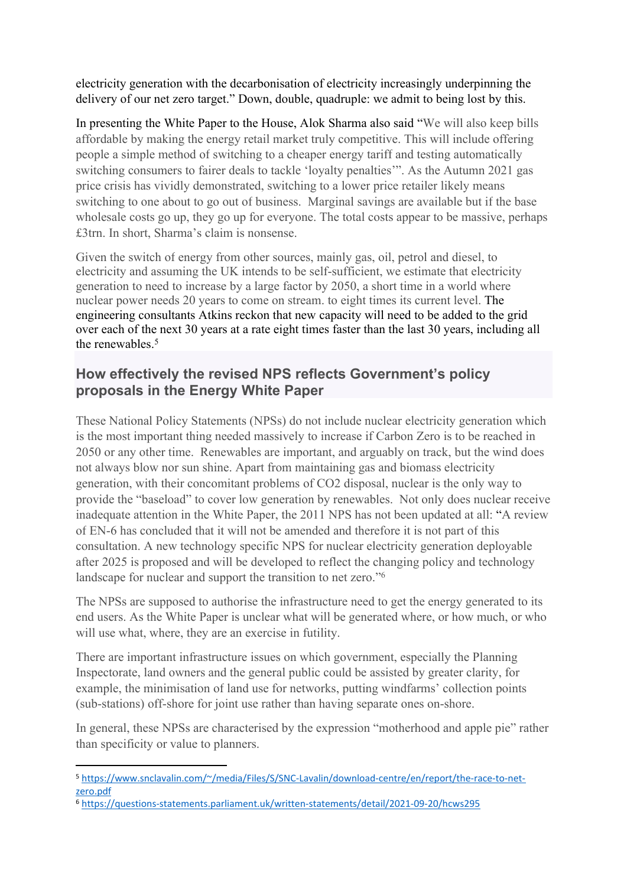electricity generation with the decarbonisation of electricity increasingly underpinning the delivery of our net zero target." Down, double, quadruple: we admit to being lost by this.

In presenting the White Paper to the House, Alok Sharma also said "We will also keep bills affordable by making the energy retail market truly competitive. This will include offering people a simple method of switching to a cheaper energy tariff and testing automatically switching consumers to fairer deals to tackle 'loyalty penalties'". As the Autumn 2021 gas price crisis has vividly demonstrated, switching to a lower price retailer likely means switching to one about to go out of business. Marginal savings are available but if the base wholesale costs go up, they go up for everyone. The total costs appear to be massive, perhaps £3trn. In short, Sharma's claim is nonsense.

Given the switch of energy from other sources, mainly gas, oil, petrol and diesel, to electricity and assuming the UK intends to be self-sufficient, we estimate that electricity generation to need to increase by a large factor by 2050, a short time in a world where nuclear power needs 20 years to come on stream. to eight times its current level. The engineering consultants Atkins reckon that new capacity will need to be added to the grid over each of the next 30 years at a rate eight times faster than the last 30 years, including all the renewables.<sup>5</sup>

## **How effectively the revised NPS reflects Government's policy proposals in the Energy White Paper**

These National Policy Statements (NPSs) do not include nuclear electricity generation which is the most important thing needed massively to increase if Carbon Zero is to be reached in 2050 or any other time. Renewables are important, and arguably on track, but the wind does not always blow nor sun shine. Apart from maintaining gas and biomass electricity generation, with their concomitant problems of CO2 disposal, nuclear is the only way to provide the "baseload" to cover low generation by renewables. Not only does nuclear receive inadequate attention in the White Paper, the 2011 NPS has not been updated at all: "A review of EN-6 has concluded that it will not be amended and therefore it is not part of this consultation. A new technology specific NPS for nuclear electricity generation deployable after 2025 is proposed and will be developed to reflect the changing policy and technology landscape for nuclear and support the transition to net zero."<sup>6</sup>

The NPSs are supposed to authorise the infrastructure need to get the energy generated to its end users. As the White Paper is unclear what will be generated where, or how much, or who will use what, where, they are an exercise in futility.

There are important infrastructure issues on which government, especially the Planning Inspectorate, land owners and the general public could be assisted by greater clarity, for example, the minimisation of land use for networks, putting windfarms' collection points (sub-stations) off-shore for joint use rather than having separate ones on-shore.

In general, these NPSs are characterised by the expression "motherhood and apple pie" rather than specificity or value to planners.

<sup>5</sup> [https://www.snclavalin.com/~/media/Files/S/SNC-Lavalin/download-centre/en/report/the-race-to-net](https://www.snclavalin.com/~/media/Files/S/SNC-Lavalin/download-centre/en/report/the-race-to-net-zero.pdf)[zero.pdf](https://www.snclavalin.com/~/media/Files/S/SNC-Lavalin/download-centre/en/report/the-race-to-net-zero.pdf)

<sup>6</sup> <https://questions-statements.parliament.uk/written-statements/detail/2021-09-20/hcws295>